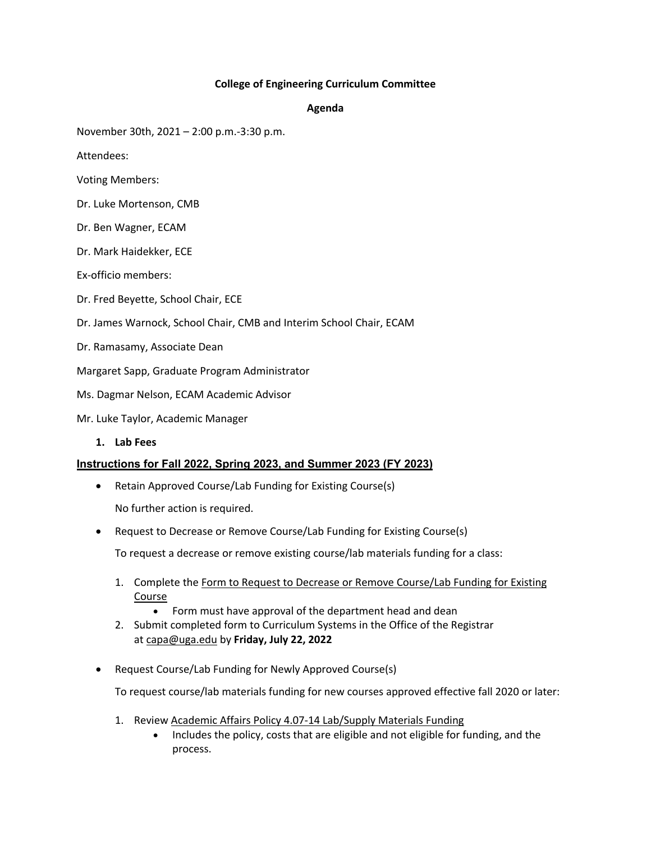### **College of Engineering Curriculum Committee**

#### **Agenda**

November 30th, 2021 – 2:00 p.m.-3:30 p.m.

Attendees:

- Voting Members:
- Dr. Luke Mortenson, CMB
- Dr. Ben Wagner, ECAM
- Dr. Mark Haidekker, ECE
- Ex-officio members:
- Dr. Fred Beyette, School Chair, ECE
- Dr. James Warnock, School Chair, CMB and Interim School Chair, ECAM
- Dr. Ramasamy, Associate Dean
- Margaret Sapp, Graduate Program Administrator
- Ms. Dagmar Nelson, ECAM Academic Advisor
- Mr. Luke Taylor, Academic Manager
	- **1. Lab Fees**

## **Instructions for Fall 2022, Spring 2023, and Summer 2023 (FY 2023)**

• Retain Approved Course/Lab Funding for Existing Course(s)

No further action is required.

• Request to Decrease or Remove Course/Lab Funding for Existing Course(s)

To request a decrease or remove existing course/lab materials funding for a class:

- 1. Complete the Form to Request to Decrease or Remove Course/Lab Funding for Existing Course
	- Form must have approval of the department head and dean
- 2. Submit completed form to Curriculum Systems in the Office of the Registrar at capa@uga.edu by **Friday, July 22, 2022**
- Request Course/Lab Funding for Newly Approved Course(s)

To request course/lab materials funding for new courses approved effective fall 2020 or later:

- 1. Review Academic Affairs Policy 4.07-14 Lab/Supply Materials Funding
	- Includes the policy, costs that are eligible and not eligible for funding, and the process.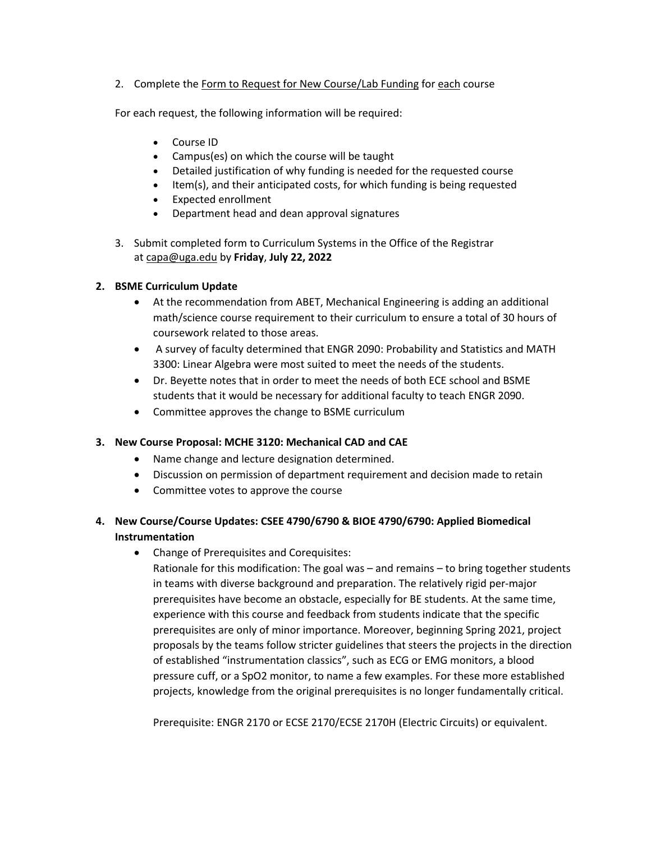2. Complete the Form to Request for New Course/Lab Funding for each course

For each request, the following information will be required:

- Course ID
- Campus(es) on which the course will be taught
- Detailed justification of why funding is needed for the requested course
- Item(s), and their anticipated costs, for which funding is being requested
- Expected enrollment
- Department head and dean approval signatures
- 3. Submit completed form to Curriculum Systems in the Office of the Registrar at capa@uga.edu by **Friday**, **July 22, 2022**

## **2. BSME Curriculum Update**

- At the recommendation from ABET, Mechanical Engineering is adding an additional math/science course requirement to their curriculum to ensure a total of 30 hours of coursework related to those areas.
- A survey of faculty determined that ENGR 2090: Probability and Statistics and MATH 3300: Linear Algebra were most suited to meet the needs of the students.
- Dr. Beyette notes that in order to meet the needs of both ECE school and BSME students that it would be necessary for additional faculty to teach ENGR 2090.
- Committee approves the change to BSME curriculum

## **3. New Course Proposal: MCHE 3120: Mechanical CAD and CAE**

- Name change and lecture designation determined.
- Discussion on permission of department requirement and decision made to retain
- Committee votes to approve the course

# **4. New Course/Course Updates: CSEE 4790/6790 & BIOE 4790/6790: Applied Biomedical Instrumentation**

• Change of Prerequisites and Corequisites:

Rationale for this modification: The goal was – and remains – to bring together students in teams with diverse background and preparation. The relatively rigid per-major prerequisites have become an obstacle, especially for BE students. At the same time, experience with this course and feedback from students indicate that the specific prerequisites are only of minor importance. Moreover, beginning Spring 2021, project proposals by the teams follow stricter guidelines that steers the projects in the direction of established "instrumentation classics", such as ECG or EMG monitors, a blood pressure cuff, or a SpO2 monitor, to name a few examples. For these more established projects, knowledge from the original prerequisites is no longer fundamentally critical.

Prerequisite: ENGR 2170 or ECSE 2170/ECSE 2170H (Electric Circuits) or equivalent.